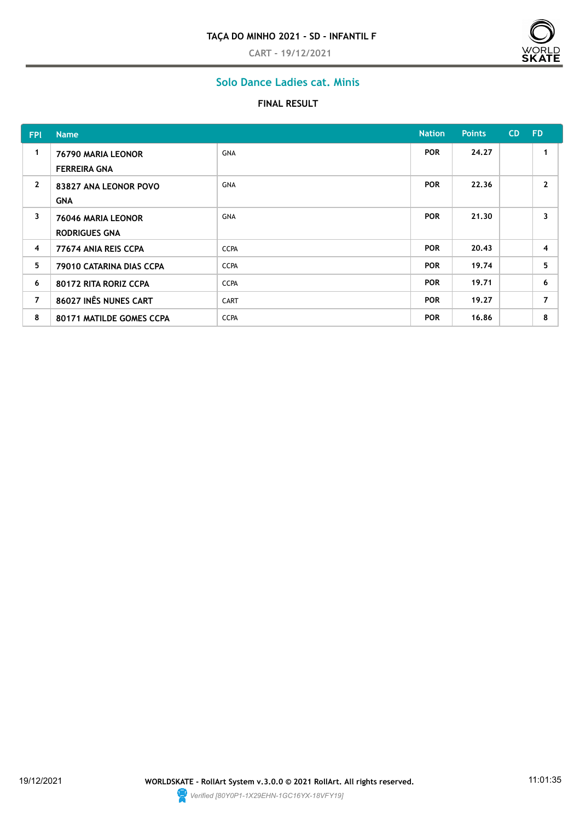**CART - 19/12/2021**



# **Solo Dance Ladies cat. Minis**

#### **FINAL RESULT**

| <b>FPI</b>     | <b>Name</b>                                |             | <b>Nation</b> | <b>Points</b> | <b>CD</b> | <b>FD</b>               |
|----------------|--------------------------------------------|-------------|---------------|---------------|-----------|-------------------------|
| 1              | 76790 MARIA LEONOR<br><b>FERREIRA GNA</b>  | GNA         | <b>POR</b>    | 24.27         |           |                         |
| $\mathbf{2}$   | 83827 ANA LEONOR POVO<br><b>GNA</b>        | GNA         | <b>POR</b>    | 22.36         |           | $\mathbf{2}$            |
| 3              | 76046 MARIA LEONOR<br><b>RODRIGUES GNA</b> | <b>GNA</b>  | <b>POR</b>    | 21.30         |           | $\overline{\mathbf{3}}$ |
| $\overline{4}$ | 77674 ANIA REIS CCPA                       | <b>CCPA</b> | <b>POR</b>    | 20.43         |           | $\overline{4}$          |
| 5              | 79010 CATARINA DIAS CCPA                   | <b>CCPA</b> | <b>POR</b>    | 19.74         |           | 5                       |
| 6              | 80172 RITA RORIZ CCPA                      | <b>CCPA</b> | <b>POR</b>    | 19.71         |           | 6                       |
| $\overline{7}$ | 86027 INÊS NUNES CART                      | <b>CART</b> | <b>POR</b>    | 19.27         |           | $\overline{7}$          |
| 8              | 80171 MATILDE GOMES CCPA                   | <b>CCPA</b> | <b>POR</b>    | 16.86         |           | 8                       |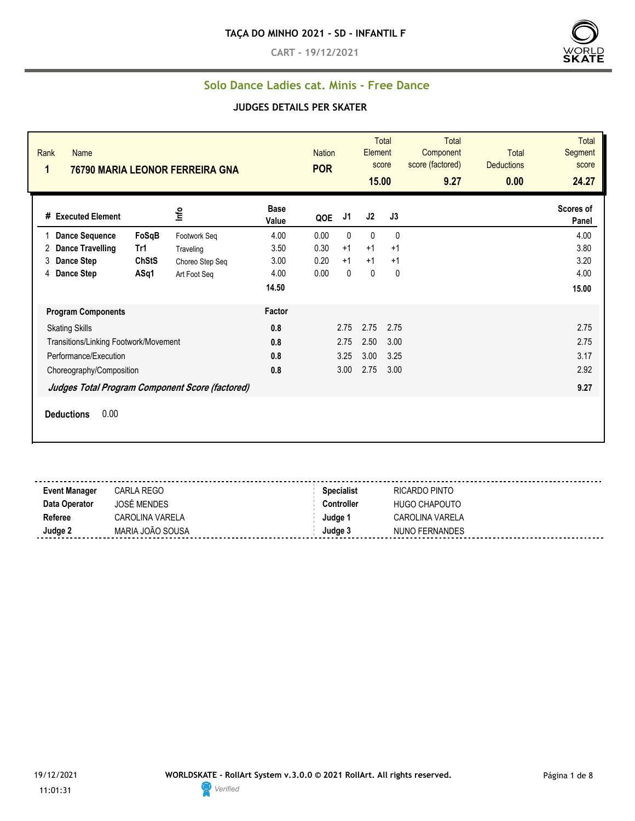**CART - 19/12/2021**



#### **Solo Dance Ladies cat. Minis - Free Dance**

| Rank<br><b>Name</b><br>1<br>76790 MARIA LEONOR FERREIRA GNA |                                                 |                 |                      | <b>Nation</b><br><b>POR</b> |      | <b>Total</b><br>Element<br>score<br>15.00 |              | <b>Total</b><br>Component<br>score (factored)<br>9.27 | <b>Total</b><br><b>Deductions</b><br>0.00 | <b>Total</b><br>Segment<br>score<br>24.27 |
|-------------------------------------------------------------|-------------------------------------------------|-----------------|----------------------|-----------------------------|------|-------------------------------------------|--------------|-------------------------------------------------------|-------------------------------------------|-------------------------------------------|
| # Executed Element                                          |                                                 | Info            | <b>Base</b><br>Value | QOE                         | J1   | J2                                        | J3           |                                                       |                                           | Scores of<br>Panel                        |
| <b>Dance Sequence</b>                                       | FoSqB                                           | Footwork Seq    | 4.00                 | 0.00                        | 0    | $\mathbf{0}$                              | $\mathbf{0}$ |                                                       |                                           | 4.00                                      |
| <b>Dance Travelling</b><br>2                                | Tr1                                             | Traveling       | 3.50                 | 0.30                        | $+1$ | $+1$                                      | $+1$         |                                                       |                                           | 3.80                                      |
| 3<br><b>Dance Step</b>                                      | <b>ChStS</b>                                    | Choreo Step Seq | 3.00                 | 0.20                        | $+1$ | $+1$                                      | $+1$         |                                                       |                                           | 3.20                                      |
| Dance Step<br>4                                             | ASq1                                            | Art Foot Seq    | 4.00                 | 0.00                        | 0    | $\mathbf 0$                               | 0            |                                                       |                                           | 4.00                                      |
|                                                             |                                                 |                 | 14.50                |                             |      |                                           |              |                                                       |                                           | 15.00                                     |
| <b>Program Components</b>                                   |                                                 |                 | Factor               |                             |      |                                           |              |                                                       |                                           |                                           |
| <b>Skating Skills</b>                                       |                                                 |                 | 0.8                  |                             | 2.75 | 2.75                                      | 2.75         |                                                       |                                           | 2.75                                      |
| Transitions/Linking Footwork/Movement                       |                                                 |                 | 0.8                  |                             | 2.75 | 2.50                                      | 3.00         |                                                       |                                           | 2.75                                      |
| Performance/Execution                                       |                                                 |                 | 0.8                  |                             | 3.25 | 3.00                                      | 3.25         |                                                       |                                           | 3.17                                      |
| Choreography/Composition                                    |                                                 |                 | 0.8                  |                             | 3.00 | 2.75                                      | 3.00         |                                                       |                                           | 2.92                                      |
|                                                             | Judges Total Program Component Score (factored) |                 |                      |                             |      |                                           |              |                                                       |                                           | 9.27                                      |
| 0.00<br><b>Deductions</b>                                   |                                                 |                 |                      |                             |      |                                           |              |                                                       |                                           |                                           |

| <b>Event Manager</b> | CARLA REGO             | <b>Specialist</b> | RICARDO PINTO   |
|----------------------|------------------------|-------------------|-----------------|
| Data Operator        | <b>JOSÉ MENDES</b>     | Controller        | HUGO CHAPOUTO   |
| Referee              | <b>CAROLINA VARELA</b> | Judae 1           | CAROLINA VARELA |
| Judge 2              | MARIA JOÃO SOUSA       | Judge 3           | NUNO FERNANDES  |

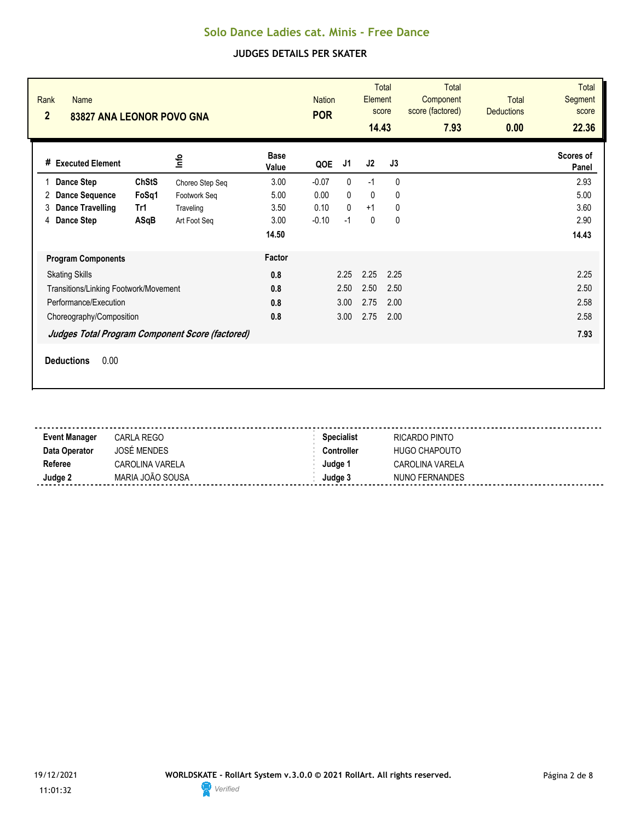| Rank<br><b>Name</b><br>$\overline{2}$<br>83827 ANA LEONOR POVO GNA                                              |                                              | <b>Nation</b><br><b>POR</b> |                         | Element<br>14.43                             | <b>Total</b><br>score        | <b>Total</b><br>Component<br>score (factored)<br>7.93 | Total<br><b>Deductions</b><br>0.00 | <b>Total</b><br><b>Segment</b><br>score<br>22.36 |                      |
|-----------------------------------------------------------------------------------------------------------------|----------------------------------------------|-----------------------------|-------------------------|----------------------------------------------|------------------------------|-------------------------------------------------------|------------------------------------|--------------------------------------------------|----------------------|
| # Executed Element                                                                                              | lnfo                                         | <b>Base</b><br>Value        | QOE                     | J1                                           | J2                           | J3                                                    |                                    |                                                  | Scores of<br>Panel   |
| <b>ChStS</b><br><b>Dance Step</b><br><b>Dance Sequence</b><br>FoSq1<br>2<br><b>Dance Travelling</b><br>Tr1<br>3 | Choreo Step Seq<br>Footwork Seq<br>Traveling | 3.00<br>5.00<br>3.50        | $-0.07$<br>0.00<br>0.10 | $\mathbf{0}$<br>$\mathbf{0}$<br>$\mathbf{0}$ | $-1$<br>$\mathbf{0}$<br>$+1$ | $\mathbf{0}$<br>$\mathbf{0}$<br>$\mathbf{0}$          |                                    |                                                  | 2.93<br>5.00<br>3.60 |
| Dance Step<br>ASqB<br>4                                                                                         | Art Foot Seg                                 | 3.00<br>14.50               | $-0.10$                 | $-1$                                         | $\mathbf{0}$                 | $\mathbf{0}$                                          |                                    |                                                  | 2.90<br>14.43        |
| <b>Program Components</b>                                                                                       |                                              | Factor                      |                         |                                              |                              |                                                       |                                    |                                                  |                      |
| <b>Skating Skills</b>                                                                                           |                                              | 0.8                         |                         | 2.25                                         | 2.25                         | 2.25                                                  |                                    |                                                  | 2.25                 |
| Transitions/Linking Footwork/Movement                                                                           |                                              | 0.8                         |                         | 2.50                                         | 2.50                         | 2.50                                                  |                                    |                                                  | 2.50                 |
| Performance/Execution                                                                                           |                                              | 0.8                         |                         | 3.00                                         | 2.75                         | 2.00                                                  |                                    |                                                  | 2.58                 |
| Choreography/Composition                                                                                        |                                              | 0.8                         |                         | 3.00                                         | 2.75                         | 2.00                                                  |                                    |                                                  | 2.58                 |
| Judges Total Program Component Score (factored)                                                                 |                                              |                             |                         |                                              |                              |                                                       |                                    |                                                  | 7.93                 |
| 0.00<br><b>Deductions</b>                                                                                       |                                              |                             |                         |                                              |                              |                                                       |                                    |                                                  |                      |

| <b>Event Manager</b> | CARLA REGO         | <b>Specialist</b> | RICARDO PINTO        |
|----------------------|--------------------|-------------------|----------------------|
| Data Operator        | <b>JOSÉ MENDES</b> | <b>Controller</b> | <b>HUGO CHAPOUTO</b> |
| Referee              | CAROLINA VARELA    | Judae 1           | CAROLINA VARELA      |
| Judge 2              | MARIA JOÃO SOUSA   | Judge 3           | NUNO FERNANDES       |
|                      |                    |                   |                      |

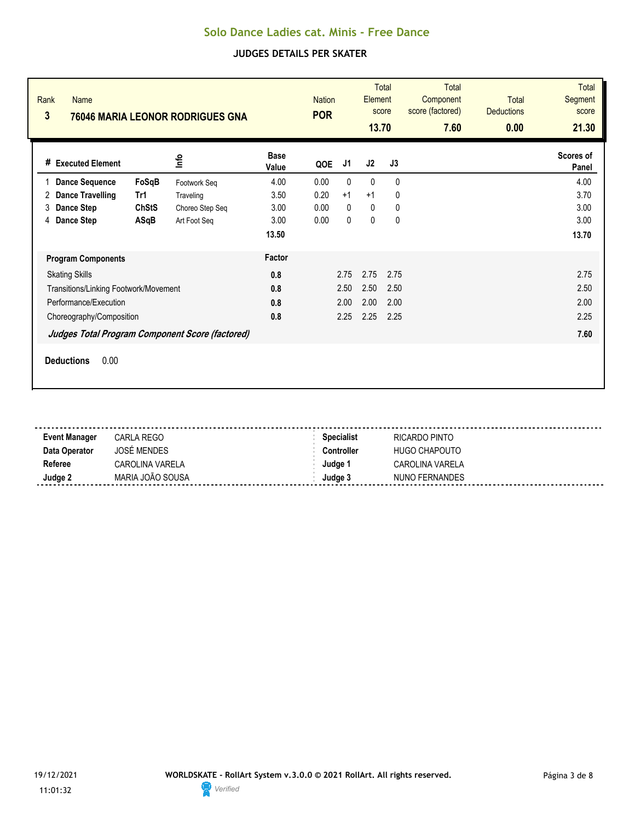| Rank<br>$\overline{\mathbf{3}}$ | <b>Name</b>                           |              | 76046 MARIA LEONOR RODRIGUES GNA                |                      | <b>Nation</b><br><b>POR</b> |              | Element<br>13.70 | <b>Total</b><br>score | <b>Total</b><br>Component<br>score (factored)<br>7.60 | <b>Total</b><br><b>Deductions</b><br>0.00 | <b>Total</b><br>Segment<br>score<br>21.30 |
|---------------------------------|---------------------------------------|--------------|-------------------------------------------------|----------------------|-----------------------------|--------------|------------------|-----------------------|-------------------------------------------------------|-------------------------------------------|-------------------------------------------|
|                                 | # Executed Element                    |              | <u>nfo</u>                                      | <b>Base</b><br>Value | QOE                         | J1           | J2               | J3                    |                                                       |                                           | Scores of<br>Panel                        |
|                                 | <b>Dance Sequence</b>                 | FoSqB        | Footwork Seq                                    | 4.00                 | 0.00                        | $\mathbf{0}$ | $\mathbf{0}$     | $\mathbf{0}$          |                                                       |                                           | 4.00                                      |
| 2                               | <b>Dance Travelling</b>               | Tr1          | Traveling                                       | 3.50                 | 0.20                        | $+1$         | $+1$             | 0                     |                                                       |                                           | 3.70                                      |
| 3                               | Dance Step                            | <b>ChStS</b> | Choreo Step Seq                                 | 3.00                 | 0.00                        | $\mathbf{0}$ | $\mathbf{0}$     | 0                     |                                                       |                                           | 3.00                                      |
| 4                               | <b>Dance Step</b>                     | ASqB         | Art Foot Seq                                    | 3.00                 | 0.00                        | $\mathbf{0}$ | $\pmb{0}$        | $\mathbf{0}$          |                                                       |                                           | 3.00                                      |
|                                 |                                       |              |                                                 | 13.50                |                             |              |                  |                       |                                                       |                                           | 13.70                                     |
|                                 | <b>Program Components</b>             |              |                                                 | Factor               |                             |              |                  |                       |                                                       |                                           |                                           |
|                                 | <b>Skating Skills</b>                 |              |                                                 | 0.8                  |                             | 2.75         | 2.75             | 2.75                  |                                                       |                                           | 2.75                                      |
|                                 | Transitions/Linking Footwork/Movement |              |                                                 | 0.8                  |                             | 2.50         | 2.50             | 2.50                  |                                                       |                                           | 2.50                                      |
|                                 | Performance/Execution                 |              |                                                 | 0.8                  |                             | 2.00         | 2.00             | 2.00                  |                                                       |                                           | 2.00                                      |
|                                 | Choreography/Composition              |              |                                                 | 0.8                  |                             | 2.25         | 2.25             | 2.25                  |                                                       |                                           | 2.25                                      |
|                                 |                                       |              | Judges Total Program Component Score (factored) |                      |                             |              |                  |                       |                                                       |                                           | 7.60                                      |
|                                 | 0.00<br><b>Deductions</b>             |              |                                                 |                      |                             |              |                  |                       |                                                       |                                           |                                           |

| <b>Event Manager</b> | CARLA REGO         | <b>Specialist</b> | RICARDO PINTO   |
|----------------------|--------------------|-------------------|-----------------|
| Data Operator        | <b>JOSÉ MENDES</b> | Controller        | HUGO CHAPOUTO   |
| Referee              | CAROLINA VARELA    | Judae 1           | CAROLINA VARELA |
| Judge 2              | MARIA JOÃO SOUSA   | Judae 3           | NUNO FERNANDES  |
|                      |                    |                   |                 |

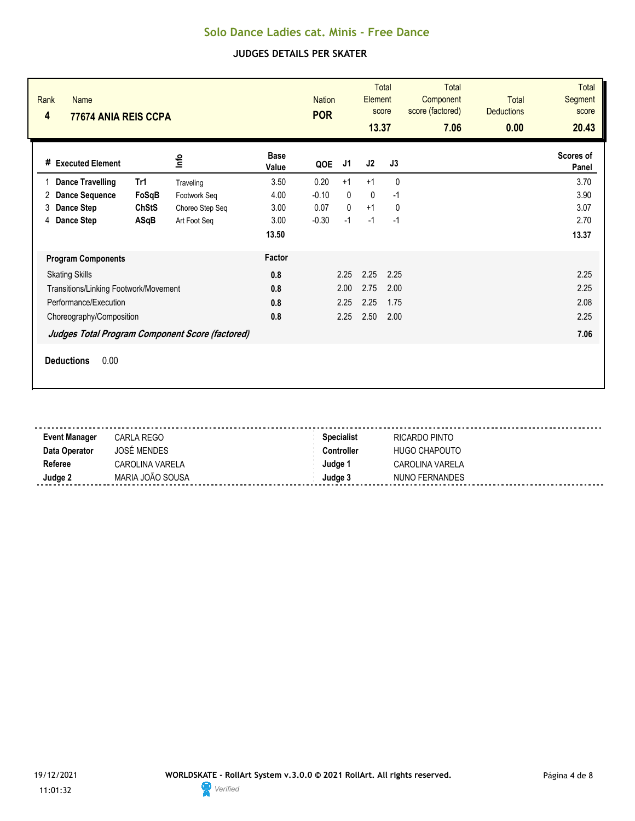| Rank<br><b>Name</b><br>4<br>77674 ANIA REIS CCPA                                                                                                                                                    |                                                                                                       | <b>Nation</b><br><b>POR</b>                                                    | <b>Total</b><br>Element<br>score<br>13.37 |                                          | <b>Total</b><br>Component<br>score (factored)<br>7.06 | <b>Total</b><br><b>Deductions</b><br>0.00 | <b>Total</b><br>Segment<br>score<br>20.43 |
|-----------------------------------------------------------------------------------------------------------------------------------------------------------------------------------------------------|-------------------------------------------------------------------------------------------------------|--------------------------------------------------------------------------------|-------------------------------------------|------------------------------------------|-------------------------------------------------------|-------------------------------------------|-------------------------------------------|
| lnfo<br># Executed Element                                                                                                                                                                          | <b>Base</b><br>Value                                                                                  | J1<br>QOE                                                                      | J <sub>2</sub>                            | J3                                       |                                                       |                                           | Scores of<br>Panel                        |
| <b>Dance Travelling</b><br>Tr1<br>1<br>FoSqB<br><b>Dance Sequence</b><br>2<br>Dance Step<br><b>ChStS</b><br>3<br>Dance Step<br>ASqB<br>4                                                            | 3.50<br>Traveling<br>4.00<br>Footwork Seg<br>3.00<br>Choreo Step Seq<br>3.00<br>Art Foot Seg<br>13.50 | 0.20<br>$+1$<br>$-0.10$<br>$\mathbf{0}$<br>$\Omega$<br>0.07<br>$-1$<br>$-0.30$ | $+1$<br>$\mathbf{0}$<br>$+1$<br>$-1$      | $\Omega$<br>$-1$<br>$\mathbf{0}$<br>$-1$ |                                                       |                                           | 3.70<br>3.90<br>3.07<br>2.70<br>13.37     |
| <b>Program Components</b><br><b>Skating Skills</b><br>Transitions/Linking Footwork/Movement<br>Performance/Execution<br>Choreography/Composition<br>Judges Total Program Component Score (factored) | Factor<br>0.8<br>0.8<br>0.8<br>0.8                                                                    | 2.25<br>2.00<br>2.25<br>2.25                                                   | 2.25<br>2.75<br>2.25<br>2.50              | 2.25<br>2.00<br>1.75<br>2.00             |                                                       |                                           | 2.25<br>2.25<br>2.08<br>2.25<br>7.06      |
| 0.00<br><b>Deductions</b>                                                                                                                                                                           |                                                                                                       |                                                                                |                                           |                                          |                                                       |                                           |                                           |

| <b>Event Manager</b> | CARLA REGO       | <b>Specialist</b> | RICARDO PINTO          |
|----------------------|------------------|-------------------|------------------------|
| Data Operator        | JOSÉ MENDES      | Controller        | <b>HUGO CHAPOUTO</b>   |
| Referee              | CAROLINA VARELA  | Judae 1           | <b>CAROLINA VARELA</b> |
| Judge 2              | MARIA JOÃO SOUSA | Judae 3           | NUNO FERNANDES         |
|                      |                  |                   |                        |

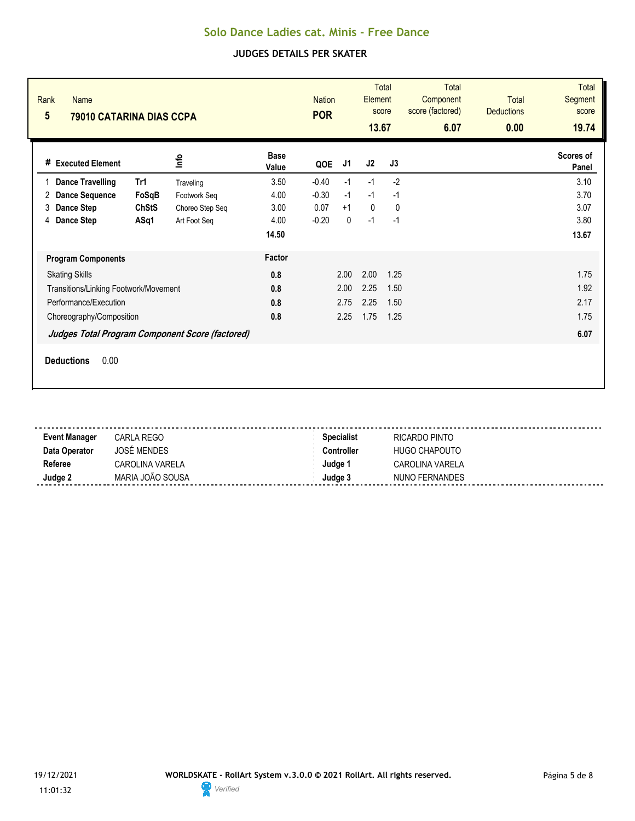| Rank<br><b>Name</b><br>$5\overline{)}$<br>79010 CATARINA DIAS CCPA |              |                 |                      | <b>Nation</b><br><b>POR</b> |              | <b>Total</b><br>Element<br>score<br>13.67 |              | <b>Total</b><br>Component<br>score (factored)<br>6.07 | <b>Total</b><br><b>Deductions</b><br>0.00 | <b>Total</b><br>Segment<br>score<br>19.74 |
|--------------------------------------------------------------------|--------------|-----------------|----------------------|-----------------------------|--------------|-------------------------------------------|--------------|-------------------------------------------------------|-------------------------------------------|-------------------------------------------|
| # Executed Element                                                 |              | <u>Info</u>     | <b>Base</b><br>Value | QOE                         | J1           | J2                                        | J3           |                                                       |                                           | Scores of<br>Panel                        |
| <b>Dance Travelling</b>                                            | Tr1          | Traveling       | 3.50                 | $-0.40$                     | $-1$         | $-1$                                      | $-2$         |                                                       |                                           | 3.10                                      |
| <b>Dance Sequence</b><br>2                                         | FoSqB        | Footwork Seg    | 4.00                 | $-0.30$                     | $-1$         | $-1$                                      | $-1$         |                                                       |                                           | 3.70                                      |
| <b>Dance Step</b><br>3                                             | <b>ChStS</b> | Choreo Step Seq | 3.00                 | 0.07                        | $+1$         | $\mathbf{0}$                              | $\mathbf{0}$ |                                                       |                                           | 3.07                                      |
| Dance Step<br>4                                                    | ASq1         | Art Foot Seq    | 4.00                 | $-0.20$                     | $\mathbf{0}$ | $-1$                                      | $-1$         |                                                       |                                           | 3.80                                      |
|                                                                    |              |                 | 14.50                |                             |              |                                           |              |                                                       |                                           | 13.67                                     |
| <b>Program Components</b>                                          |              |                 | Factor               |                             |              |                                           |              |                                                       |                                           |                                           |
| <b>Skating Skills</b>                                              |              |                 | 0.8                  |                             | 2.00         | 2.00                                      | 1.25         |                                                       |                                           | 1.75                                      |
| Transitions/Linking Footwork/Movement                              |              |                 | 0.8                  |                             | 2.00         | 2.25                                      | 1.50         |                                                       |                                           | 1.92                                      |
| Performance/Execution                                              |              |                 | 0.8                  |                             | 2.75         | 2.25                                      | 1.50         |                                                       |                                           | 2.17                                      |
| Choreography/Composition                                           |              |                 | 0.8                  |                             | 2.25         | 1.75                                      | 1.25         |                                                       |                                           | 1.75                                      |
| Judges Total Program Component Score (factored)                    |              |                 |                      |                             |              |                                           |              |                                                       |                                           | 6.07                                      |
| 0.00<br><b>Deductions</b>                                          |              |                 |                      |                             |              |                                           |              |                                                       |                                           |                                           |

| <b>Event Manager</b> | CARLA REGO       | <b>Specialist</b> | RICARDO PINTO          |
|----------------------|------------------|-------------------|------------------------|
| Data Operator        | JOSÉ MENDES      | Controller        | <b>HUGO CHAPOUTO</b>   |
| Referee              | CAROLINA VARELA  | Judae 1           | <b>CAROLINA VARELA</b> |
| Judge 2              | MARIA JOÃO SOUSA | Judae 3           | NUNO FERNANDES         |
|                      |                  |                   |                        |

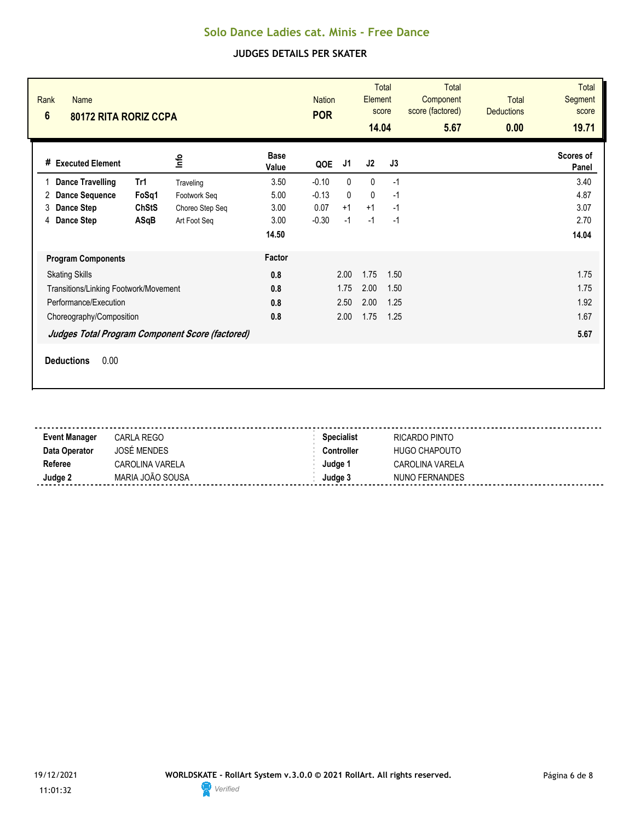| Rank<br><b>Name</b><br>$6\phantom{1}$<br>80172 RITA RORIZ CCPA |                                                 |                      | <b>Nation</b><br><b>POR</b> |              | <b>Total</b><br>Element<br>score<br>14.04 |      | <b>Total</b><br>Component<br>score (factored)<br>5.67 | <b>Total</b><br><b>Deductions</b><br>0.00 | <b>Total</b><br>Segment<br>score<br>19.71 |
|----------------------------------------------------------------|-------------------------------------------------|----------------------|-----------------------------|--------------|-------------------------------------------|------|-------------------------------------------------------|-------------------------------------------|-------------------------------------------|
| # Executed Element                                             | lnfo                                            | <b>Base</b><br>Value | QOE                         | J1           | J2                                        | J3   |                                                       |                                           | Scores of<br>Panel                        |
| <b>Dance Travelling</b><br>Tr1<br>1                            | Traveling                                       | 3.50                 | $-0.10$                     | 0            | $\mathbf 0$                               | $-1$ |                                                       |                                           | 3.40                                      |
| <b>Dance Sequence</b><br>2                                     | FoSq1<br>Footwork Seg                           | 5.00                 | $-0.13$                     | $\mathbf{0}$ | $\mathbf{0}$                              | $-1$ |                                                       |                                           | 4.87                                      |
| Dance Step<br>3                                                | <b>ChStS</b><br>Choreo Step Seq                 | 3.00                 | 0.07                        | $+1$         | $+1$                                      | $-1$ |                                                       |                                           | 3.07                                      |
| Dance Step<br>4                                                | ASqB<br>Art Foot Seq                            | 3.00                 | $-0.30$                     | $-1$         | $-1$                                      | $-1$ |                                                       |                                           | 2.70                                      |
|                                                                |                                                 | 14.50                |                             |              |                                           |      |                                                       |                                           | 14.04                                     |
| <b>Program Components</b>                                      |                                                 | Factor               |                             |              |                                           |      |                                                       |                                           |                                           |
| <b>Skating Skills</b>                                          |                                                 | 0.8                  |                             | 2.00         | 1.75                                      | 1.50 |                                                       |                                           | 1.75                                      |
| Transitions/Linking Footwork/Movement                          |                                                 | 0.8                  |                             | 1.75         | 2.00                                      | 1.50 |                                                       |                                           | 1.75                                      |
| Performance/Execution                                          |                                                 | 0.8                  |                             | 2.50         | 2.00                                      | 1.25 |                                                       |                                           | 1.92                                      |
| Choreography/Composition                                       |                                                 | 0.8                  |                             | 2.00         | 1.75                                      | 1.25 |                                                       |                                           | 1.67                                      |
|                                                                | Judges Total Program Component Score (factored) |                      |                             |              |                                           |      |                                                       |                                           | 5.67                                      |
| 0.00<br><b>Deductions</b>                                      |                                                 |                      |                             |              |                                           |      |                                                       |                                           |                                           |

| <b>Event Manager</b> | CARLA REGO       | <b>Specialist</b> | RICARDO PINTO          |
|----------------------|------------------|-------------------|------------------------|
| Data Operator        | JOSÉ MENDES      | Controller        | <b>HUGO CHAPOUTO</b>   |
| Referee              | CAROLINA VARELA  | Judae 1           | <b>CAROLINA VARELA</b> |
| Judge 2              | MARIA JOÃO SOUSA | Judae 3           | NUNO FERNANDES         |
|                      |                  |                   |                        |

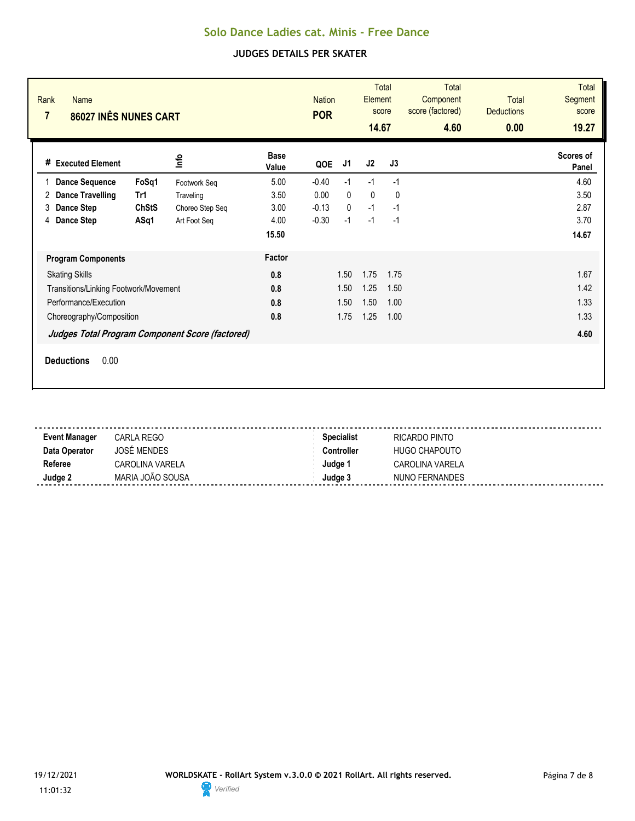| Rank<br><b>Name</b><br>86027 INÊS NUNES CART<br>7   |                         | <b>Nation</b><br><b>POR</b> |              | <b>Total</b><br>Element<br>score<br>14.67 |      | <b>Total</b><br>Component<br>score (factored)<br>4.60 | <b>Total</b><br><b>Deductions</b><br>0.00 | <b>Total</b><br><b>Segment</b><br>score<br>19.27 |
|-----------------------------------------------------|-------------------------|-----------------------------|--------------|-------------------------------------------|------|-------------------------------------------------------|-------------------------------------------|--------------------------------------------------|
| <b>Info</b><br># Executed Element                   | <b>Base</b><br>Value    | QOE                         | J1           | J2                                        | J3   |                                                       |                                           | Scores of<br>Panel                               |
| FoSq1<br><b>Dance Sequence</b><br>1<br>Footwork Seq | 5.00                    | $-0.40$                     | $-1$         | $-1$                                      | $-1$ |                                                       |                                           | 4.60                                             |
| <b>Dance Travelling</b><br>Tr1<br>2<br>Traveling    | 3.50                    | 0.00                        | $\mathbf{0}$ | $\mathbf 0$                               | 0    |                                                       |                                           | 3.50                                             |
| <b>ChStS</b><br>Dance Step<br>3                     | 3.00<br>Choreo Step Seq | $-0.13$                     | $\mathbf{0}$ | $-1$                                      | $-1$ |                                                       |                                           | 2.87                                             |
| Dance Step<br>ASq1<br>4<br>Art Foot Seq             | 4.00                    | $-0.30$                     | $-1$         | $-1$                                      | $-1$ |                                                       |                                           | 3.70                                             |
|                                                     | 15.50                   |                             |              |                                           |      |                                                       |                                           | 14.67                                            |
| <b>Program Components</b>                           | Factor                  |                             |              |                                           |      |                                                       |                                           |                                                  |
| <b>Skating Skills</b>                               | 0.8                     | 1.50                        |              | 1.75                                      | 1.75 |                                                       |                                           | 1.67                                             |
| Transitions/Linking Footwork/Movement               | 0.8                     | 1.50                        |              | 1.25                                      | 1.50 |                                                       |                                           | 1.42                                             |
| Performance/Execution                               | 0.8                     | 1.50                        |              | 1.50                                      | 1.00 |                                                       |                                           | 1.33                                             |
| Choreography/Composition                            | 0.8                     | 1.75                        |              | 1.25                                      | 1.00 |                                                       |                                           | 1.33                                             |
| Judges Total Program Component Score (factored)     |                         |                             |              |                                           |      |                                                       | 4.60                                      |                                                  |
| <b>Deductions</b><br>0.00                           |                         |                             |              |                                           |      |                                                       |                                           |                                                  |

| <b>Event Manager</b> | CARLA REGO         | <b>Specialist</b> | RICARDO PINTO   |
|----------------------|--------------------|-------------------|-----------------|
| Data Operator        | <b>JOSÉ MENDES</b> | Controller        | HUGO CHAPOUTO   |
| Referee              | CAROLINA VARELA    | Judae 1           | CAROLINA VARELA |
| Judge 2              | MARIA JOÃO SOUSA   | Judae 3           | NUNO FERNANDES  |
|                      |                    |                   |                 |